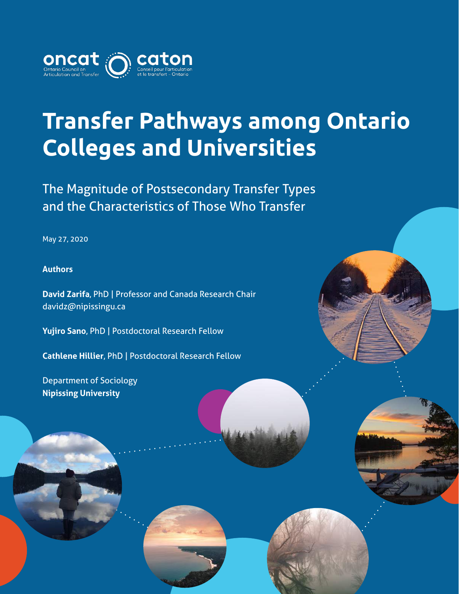

## **Transfer Pathways among Ontario Colleges and Universities**

The Magnitude of Postsecondary Transfer Types and the Characteristics of Those Who Transfer

May 27, 2020

#### **Authors**

**David Zarifa**, PhD | Professor and Canada Research Chair davidz@nipissingu.ca

**Yujiro Sano**, PhD | Postdoctoral Research Fellow

**Cathlene Hillier**, PhD | Postdoctoral Research Fellow

Department of Sociology **Nipissing University**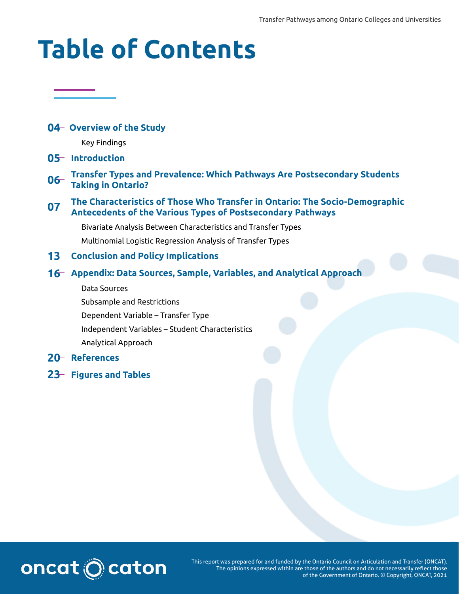# **Table of Contents**

#### **04 Overview of the Study**

Key Findings

#### **05 Introduction**

**Transfer Types and Prevalence: Which Pathways Are Postsecondary Students 06 Taking in Ontario?**

#### **The Characteristics of Those Who Transfer in Ontario: The Socio-Demographic 07 Antecedents of the Various Types of Postsecondary Pathways**

Bivariate Analysis Between Characteristics and Transfer Types

Multinomial Logistic Regression Analysis of Transfer Types

#### **13 Conclusion and Policy Implications**

#### **16 Appendix: Data Sources, Sample, Variables, and Analytical Approach**

Data Sources

Subsample and Restrictions Dependent Variable – Transfer Type Independent Variables – Student Characteristics Analytical Approach

#### **20 References**

**23 Figures and Tables**



This report was prepared for and funded by the Ontario Council on Articulation and Transfer (ONCAT). The opinions expressed within are those of the authors and do not necessarily reflect those of the Government of Ontario. © Copyright, ONCAT, 2021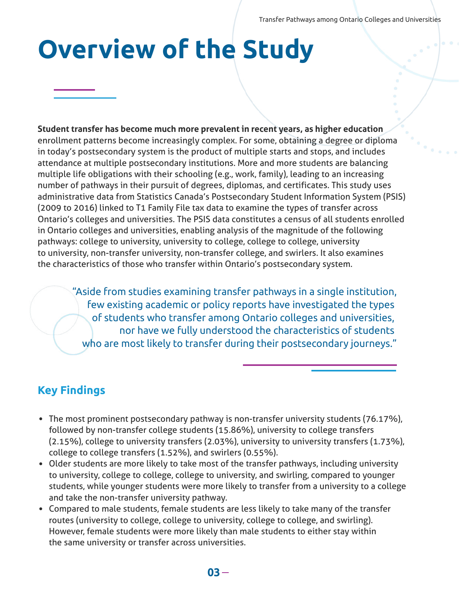# **Overview of the Study**

**Student transfer has become much more prevalent in recent years, as higher education** enrollment patterns become increasingly complex. For some, obtaining a degree or diploma in today's postsecondary system is the product of multiple starts and stops, and includes attendance at multiple postsecondary institutions. More and more students are balancing multiple life obligations with their schooling (e.g., work, family), leading to an increasing number of pathways in their pursuit of degrees, diplomas, and certificates. This study uses administrative data from Statistics Canada's Postsecondary Student Information System (PSIS) (2009 to 2016) linked to T1 Family File tax data to examine the types of transfer across Ontario's colleges and universities. The PSIS data constitutes a census of all students enrolled in Ontario colleges and universities, enabling analysis of the magnitude of the following pathways: college to university, university to college, college to college, university to university, non-transfer university, non-transfer college, and swirlers. It also examines the characteristics of those who transfer within Ontario's postsecondary system.

"Aside from studies examining transfer pathways in a single institution, few existing academic or policy reports have investigated the types of students who transfer among Ontario colleges and universities, nor have we fully understood the characteristics of students who are most likely to transfer during their postsecondary journeys."

## **Key Findings**

- The most prominent postsecondary pathway is non-transfer university students (76.17%), followed by non-transfer college students (15.86%), university to college transfers (2.15%), college to university transfers (2.03%), university to university transfers (1.73%), college to college transfers (1.52%), and swirlers (0.55%).
- Older students are more likely to take most of the transfer pathways, including university to university, college to college, college to university, and swirling, compared to younger students, while younger students were more likely to transfer from a university to a college and take the non-transfer university pathway.
- Compared to male students, female students are less likely to take many of the transfer routes (university to college, college to university, college to college, and swirling). However, female students were more likely than male students to either stay within the same university or transfer across universities.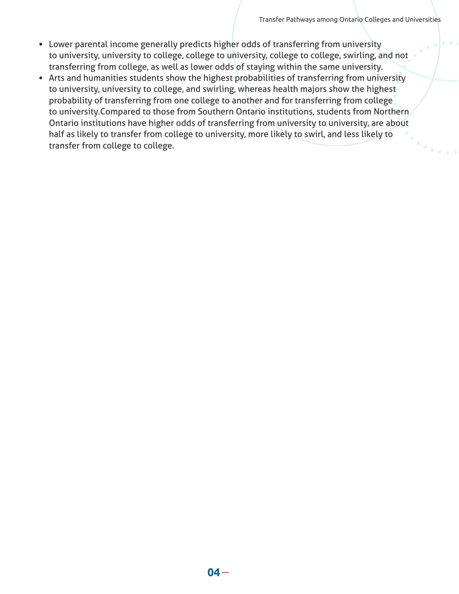Transfer Pathways among Ontario Colleges and Universities

- Lower parental income generally predicts higher odds of transferring from university to university, university to college, college to university, college to college, swirling, and not transferring from college, as well as lower odds of staying within the same university.
- Arts and humanities students show the highest probabilities of transferring from university to university, university to college, and swirling, whereas health majors show the highest probability of transferring from one college to another and for transferring from college to university.Compared to those from Southern Ontario institutions, students from Northern Ontario institutions have higher odds of transferring from university to university, are about half as likely to transfer from college to university, more likely to swirl, and less likely to transfer from college to college.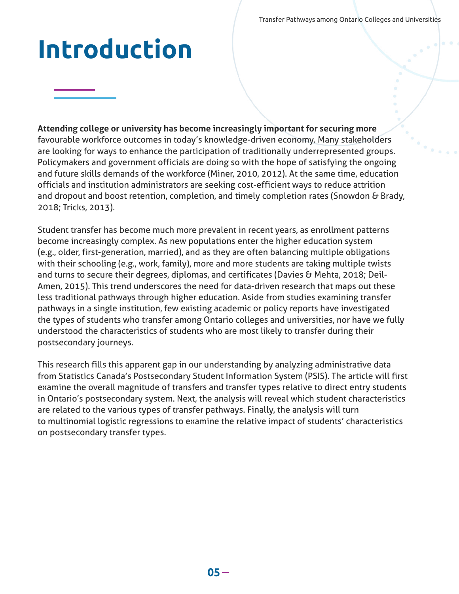Transfer Pathways among Ontario Colleges and Universities

# **Introduction**

**Attending college or university has become increasingly important for securing more** favourable workforce outcomes in today's knowledge-driven economy. Many stakeholders are looking for ways to enhance the participation of traditionally underrepresented groups. Policymakers and government officials are doing so with the hope of satisfying the ongoing and future skills demands of the workforce (Miner, 2010, 2012). At the same time, education officials and institution administrators are seeking cost-efficient ways to reduce attrition and dropout and boost retention, completion, and timely completion rates (Snowdon & Brady, 2018; Tricks, 2013).

Student transfer has become much more prevalent in recent years, as enrollment patterns become increasingly complex. As new populations enter the higher education system (e.g., older, first-generation, married), and as they are often balancing multiple obligations with their schooling (e.g., work, family), more and more students are taking multiple twists and turns to secure their degrees, diplomas, and certificates (Davies & Mehta, 2018; Deil-Amen, 2015). This trend underscores the need for data-driven research that maps out these less traditional pathways through higher education. Aside from studies examining transfer pathways in a single institution, few existing academic or policy reports have investigated the types of students who transfer among Ontario colleges and universities, nor have we fully understood the characteristics of students who are most likely to transfer during their postsecondary journeys.

This research fills this apparent gap in our understanding by analyzing administrative data from Statistics Canada's Postsecondary Student Information System (PSIS). The article will first examine the overall magnitude of transfers and transfer types relative to direct entry students in Ontario's postsecondary system. Next, the analysis will reveal which student characteristics are related to the various types of transfer pathways. Finally, the analysis will turn to multinomial logistic regressions to examine the relative impact of students' characteristics on postsecondary transfer types.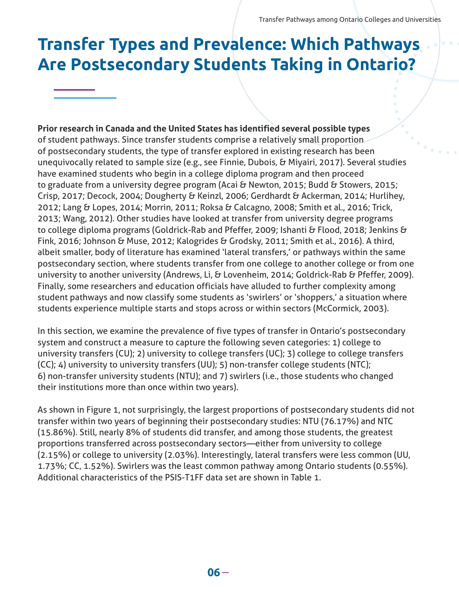## **Transfer Types and Prevalence: Which Pathways Are Postsecondary Students Taking in Ontario?**

#### **Prior research in Canada and the United States has identified several possible types**

of student pathways. Since transfer students comprise a relatively small proportion of postsecondary students, the type of transfer explored in existing research has been unequivocally related to sample size (e.g., see Finnie, Dubois, & Miyairi, 2017). Several studies have examined students who begin in a college diploma program and then proceed to graduate from a university degree program (Acai & Newton, 2015; Budd & Stowers, 2015; Crisp, 2017; Decock, 2004; Dougherty & Keinzl, 2006; Gerdhardt & Ackerman, 2014; Hurlihey, 2012; Lang & Lopes, 2014; Morrin, 2011; Roksa & Calcagno, 2008; Smith et al., 2016; Trick, 2013; Wang, 2012). Other studies have looked at transfer from university degree programs to college diploma programs (Goldrick-Rab and Pfeffer, 2009; Ishanti & Flood, 2018; Jenkins & Fink, 2016; Johnson & Muse, 2012; Kalogrides & Grodsky, 2011; Smith et al., 2016). A third, albeit smaller, body of literature has examined 'lateral transfers,' or pathways within the same postsecondary section, where students transfer from one college to another college or from one university to another university (Andrews, Li, & Lovenheim, 2014; Goldrick-Rab & Pfeffer, 2009). Finally, some researchers and education officials have alluded to further complexity among student pathways and now classify some students as 'swirlers' or 'shoppers,' a situation where students experience multiple starts and stops across or within sectors (McCormick, 2003).

In this section, we examine the prevalence of five types of transfer in Ontario's postsecondary system and construct a measure to capture the following seven categories: 1) college to university transfers (CU); 2) university to college transfers (UC); 3) college to college transfers (CC); 4) university to university transfers (UU); 5) non-transfer college students (NTC); 6) non-transfer university students (NTU); and 7) swirlers (i.e., those students who changed their institutions more than once within two years).

As shown in Figure 1, not surprisingly, the largest proportions of postsecondary students did not transfer within two years of beginning their postsecondary studies: NTU (76.17%) and NTC (15.86%). Still, nearly 8% of students did transfer, and among those students, the greatest proportions transferred across postsecondary sectors—either from university to college (2.15%) or college to university (2.03%). Interestingly, lateral transfers were less common (UU, 1.73%; CC, 1.52%). Swirlers was the least common pathway among Ontario students (0.55%). Additional characteristics of the PSIS-T1FF data set are shown in Table 1.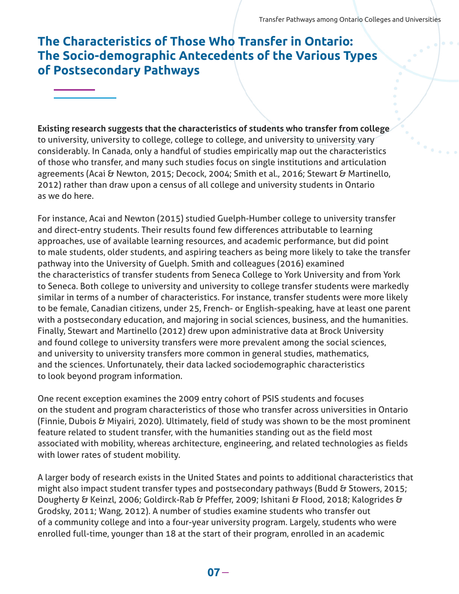### **The Characteristics of Those Who Transfer in Ontario: The Socio-demographic Antecedents of the Various Types of Postsecondary Pathways**

**Existing research suggests that the characteristics of students who transfer from college** to university, university to college, college to college, and university to university vary considerably. In Canada, only a handful of studies empirically map out the characteristics of those who transfer, and many such studies focus on single institutions and articulation agreements (Acai & Newton, 2015; Decock, 2004; Smith et al., 2016; Stewart & Martinello, 2012) rather than draw upon a census of all college and university students in Ontario as we do here.

For instance, Acai and Newton (2015) studied Guelph-Humber college to university transfer and direct-entry students. Their results found few differences attributable to learning approaches, use of available learning resources, and academic performance, but did point to male students, older students, and aspiring teachers as being more likely to take the transfer pathway into the University of Guelph. Smith and colleagues (2016) examined the characteristics of transfer students from Seneca College to York University and from York to Seneca. Both college to university and university to college transfer students were markedly similar in terms of a number of characteristics. For instance, transfer students were more likely to be female, Canadian citizens, under 25, French- or English-speaking, have at least one parent with a postsecondary education, and majoring in social sciences, business, and the humanities. Finally, Stewart and Martinello (2012) drew upon administrative data at Brock University and found college to university transfers were more prevalent among the social sciences, and university to university transfers more common in general studies, mathematics, and the sciences. Unfortunately, their data lacked sociodemographic characteristics to look beyond program information.

One recent exception examines the 2009 entry cohort of PSIS students and focuses on the student and program characteristics of those who transfer across universities in Ontario (Finnie, Dubois & Miyairi, 2020). Ultimately, field of study was shown to be the most prominent feature related to student transfer, with the humanities standing out as the field most associated with mobility, whereas architecture, engineering, and related technologies as fields with lower rates of student mobility.

A larger body of research exists in the United States and points to additional characteristics that might also impact student transfer types and postsecondary pathways (Budd & Stowers, 2015; Dougherty & Keinzl, 2006; Goldirck-Rab & Pfeffer, 2009; Ishitani & Flood, 2018; Kalogrides & Grodsky, 2011; Wang, 2012). A number of studies examine students who transfer out of a community college and into a four-year university program. Largely, students who were enrolled full-time, younger than 18 at the start of their program, enrolled in an academic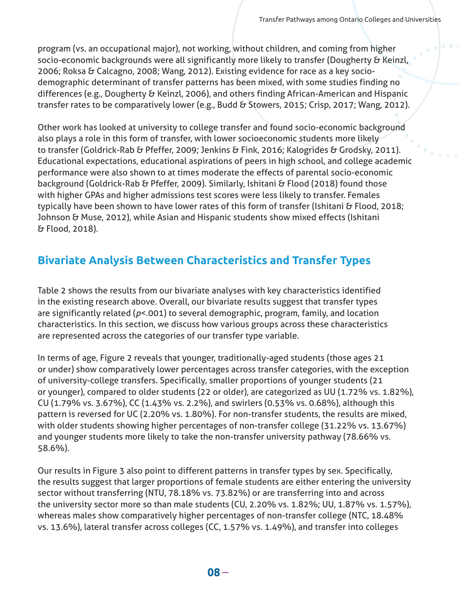program (vs. an occupational major), not working, without children, and coming from higher socio-economic backgrounds were all significantly more likely to transfer (Dougherty & Keinzl, 2006; Roksa & Calcagno, 2008; Wang, 2012). Existing evidence for race as a key sociodemographic determinant of transfer patterns has been mixed, with some studies finding no differences (e.g., Dougherty & Keinzl, 2006), and others finding African-American and Hispanic transfer rates to be comparatively lower (e.g., Budd & Stowers, 2015; Crisp, 2017; Wang, 2012).

Other work has looked at university to college transfer and found socio-economic background also plays a role in this form of transfer, with lower socioeconomic students more likely to transfer (Goldrick-Rab & Pfeffer, 2009; Jenkins & Fink, 2016; Kalogrides & Grodsky, 2011). Educational expectations, educational aspirations of peers in high school, and college academic performance were also shown to at times moderate the effects of parental socio-economic background (Goldrick-Rab & Pfeffer, 2009). Similarly, Ishitani & Flood (2018) found those with higher GPAs and higher admissions test scores were less likely to transfer. Females typically have been shown to have lower rates of this form of transfer (Ishitani & Flood, 2018; Johnson & Muse, 2012), while Asian and Hispanic students show mixed effects (Ishitani & Flood, 2018).

### **Bivariate Analysis Between Characteristics and Transfer Types**

Table 2 shows the results from our bivariate analyses with key characteristics identified in the existing research above. Overall, our bivariate results suggest that transfer types are significantly related (*p*<.001) to several demographic, program, family, and location characteristics. In this section, we discuss how various groups across these characteristics are represented across the categories of our transfer type variable.

In terms of age, Figure 2 reveals that younger, traditionally-aged students (those ages 21 or under) show comparatively lower percentages across transfer categories, with the exception of university-college transfers. Specifically, smaller proportions of younger students (21 or younger), compared to older students (22 or older), are categorized as UU (1.72% vs. 1.82%), CU (1.79% vs. 3.67%), CC (1.43% vs. 2.2%), and swirlers (0.53% vs. 0.68%), although this pattern is reversed for UC (2.20% vs. 1.80%). For non-transfer students, the results are mixed, with older students showing higher percentages of non-transfer college (31.22% vs. 13.67%) and younger students more likely to take the non-transfer university pathway (78.66% vs. 58.6%).

Our results in Figure 3 also point to different patterns in transfer types by sex. Specifically, the results suggest that larger proportions of female students are either entering the university sector without transferring (NTU, 78.18% vs. 73.82%) or are transferring into and across the university sector more so than male students (CU, 2.20% vs. 1.82%; UU, 1.87% vs. 1.57%), whereas males show comparatively higher percentages of non-transfer college (NTC, 18.48% vs. 13.6%), lateral transfer across colleges (CC, 1.57% vs. 1.49%), and transfer into colleges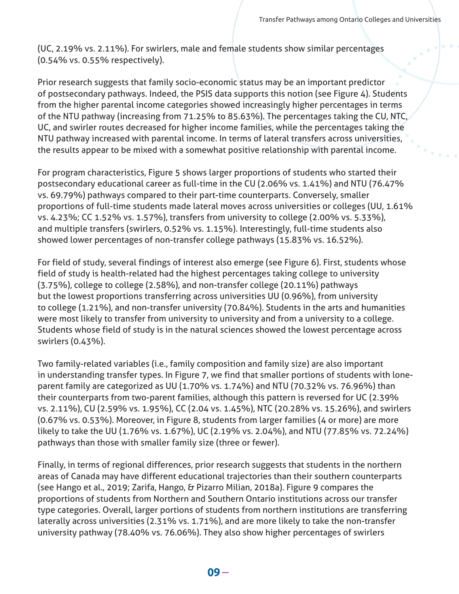(UC, 2.19% vs. 2.11%). For swirlers, male and female students show similar percentages (0.54% vs. 0.55% respectively).

Prior research suggests that family socio-economic status may be an important predictor of postsecondary pathways. Indeed, the PSIS data supports this notion (see Figure 4). Students from the higher parental income categories showed increasingly higher percentages in terms of the NTU pathway (increasing from 71.25% to 85.63%). The percentages taking the CU, NTC, UC, and swirler routes decreased for higher income families, while the percentages taking the NTU pathway increased with parental income. In terms of lateral transfers across universities, the results appear to be mixed with a somewhat positive relationship with parental income.

For program characteristics, Figure 5 shows larger proportions of students who started their postsecondary educational career as full-time in the CU (2.06% vs. 1.41%) and NTU (76.47% vs. 69.79%) pathways compared to their part-time counterparts. Conversely, smaller proportions of full-time students made lateral moves across universities or colleges (UU, 1.61% vs. 4.23%; CC 1.52% vs. 1.57%), transfers from university to college (2.00% vs. 5.33%), and multiple transfers (swirlers, 0.52% vs. 1.15%). Interestingly, full-time students also showed lower percentages of non-transfer college pathways (15.83% vs. 16.52%).

For field of study, several findings of interest also emerge (see Figure 6). First, students whose field of study is health-related had the highest percentages taking college to university (3.75%), college to college (2.58%), and non-transfer college (20.11%) pathways but the lowest proportions transferring across universities UU (0.96%), from university to college (1.21%), and non-transfer university (70.84%). Students in the arts and humanities were most likely to transfer from university to university and from a university to a college. Students whose field of study is in the natural sciences showed the lowest percentage across swirlers (0.43%).

Two family-related variables (i.e., family composition and family size) are also important in understanding transfer types. In Figure 7, we find that smaller portions of students with loneparent family are categorized as UU (1.70% vs. 1.74%) and NTU (70.32% vs. 76.96%) than their counterparts from two-parent families, although this pattern is reversed for UC (2.39% vs. 2.11%), CU (2.59% vs. 1.95%), CC (2.04 vs. 1.45%), NTC (20.28% vs. 15.26%), and swirlers (0.67% vs. 0.53%). Moreover, in Figure 8, students from larger families (4 or more) are more likely to take the UU (1.76% vs. 1.67%), UC (2.19% vs. 2.04%), and NTU (77.85% vs. 72.24%) pathways than those with smaller family size (three or fewer).

Finally, in terms of regional differences, prior research suggests that students in the northern areas of Canada may have different educational trajectories than their southern counterparts (see Hango et al., 2019; Zarifa, Hango, & Pizarro Milian, 2018a). Figure 9 compares the proportions of students from Northern and Southern Ontario institutions across our transfer type categories. Overall, larger portions of students from northern institutions are transferring laterally across universities (2.31% vs. 1.71%), and are more likely to take the non-transfer university pathway (78.40% vs. 76.06%). They also show higher percentages of swirlers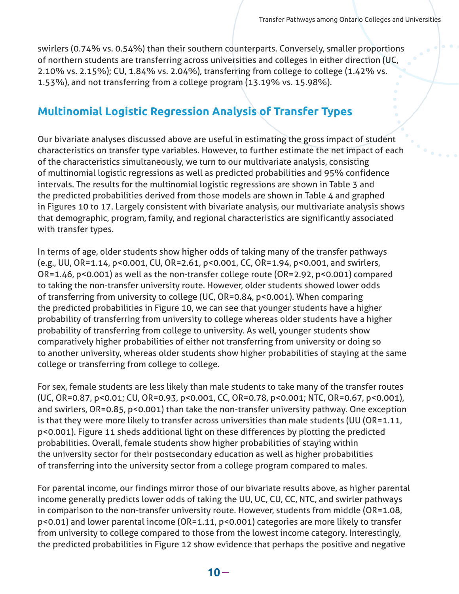swirlers (0.74% vs. 0.54%) than their southern counterparts. Conversely, smaller proportions of northern students are transferring across universities and colleges in either direction (UC, 2.10% vs. 2.15%); CU, 1.84% vs. 2.04%), transferring from college to college (1.42% vs. 1.53%), and not transferring from a college program (13.19% vs. 15.98%).

### **Multinomial Logistic Regression Analysis of Transfer Types**

Our bivariate analyses discussed above are useful in estimating the gross impact of student characteristics on transfer type variables. However, to further estimate the net impact of each of the characteristics simultaneously, we turn to our multivariate analysis, consisting of multinomial logistic regressions as well as predicted probabilities and 95% confidence intervals. The results for the multinomial logistic regressions are shown in Table 3 and the predicted probabilities derived from those models are shown in Table 4 and graphed in Figures 10 to 17. Largely consistent with bivariate analysis, our multivariate analysis shows that demographic, program, family, and regional characteristics are significantly associated with transfer types.

In terms of age, older students show higher odds of taking many of the transfer pathways (e.g., UU, OR=1.14, p<0.001, CU, OR=2.61, p<0.001, CC, OR=1.94, p<0.001, and swirlers, OR=1.46, p<0.001) as well as the non-transfer college route (OR=2.92, p<0.001) compared to taking the non-transfer university route. However, older students showed lower odds of transferring from university to college (UC, OR=0.84, p<0.001). When comparing the predicted probabilities in Figure 10, we can see that younger students have a higher probability of transferring from university to college whereas older students have a higher probability of transferring from college to university. As well, younger students show comparatively higher probabilities of either not transferring from university or doing so to another university, whereas older students show higher probabilities of staying at the same college or transferring from college to college.

For sex, female students are less likely than male students to take many of the transfer routes (UC, OR=0.87, p<0.01; CU, OR=0.93, p<0.001, CC, OR=0.78, p<0.001; NTC, OR=0.67, p<0.001), and swirlers, OR=0.85, p<0.001) than take the non-transfer university pathway. One exception is that they were more likely to transfer across universities than male students (UU (OR=1.11, p<0.001). Figure 11 sheds additional light on these differences by plotting the predicted probabilities. Overall, female students show higher probabilities of staying within the university sector for their postsecondary education as well as higher probabilities of transferring into the university sector from a college program compared to males.

For parental income, our findings mirror those of our bivariate results above, as higher parental income generally predicts lower odds of taking the UU, UC, CU, CC, NTC, and swirler pathways in comparison to the non-transfer university route. However, students from middle (OR=1.08, p<0.01) and lower parental income (OR=1.11, p<0.001) categories are more likely to transfer from university to college compared to those from the lowest income category. Interestingly, the predicted probabilities in Figure 12 show evidence that perhaps the positive and negative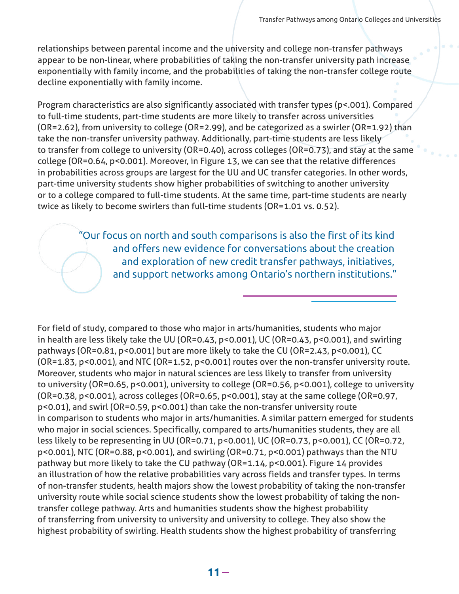relationships between parental income and the university and college non-transfer pathways appear to be non-linear, where probabilities of taking the non-transfer university path increase exponentially with family income, and the probabilities of taking the non-transfer college route decline exponentially with family income.

Program characteristics are also significantly associated with transfer types (p<.001). Compared to full-time students, part-time students are more likely to transfer across universities (OR=2.62), from university to college (OR=2.99), and be categorized as a swirler (OR=1.92) than take the non-transfer university pathway. Additionally, part-time students are less likely to transfer from college to university (OR=0.40), across colleges (OR=0.73), and stay at the same college (OR=0.64, p<0.001). Moreover, in Figure 13, we can see that the relative differences in probabilities across groups are largest for the UU and UC transfer categories. In other words, part-time university students show higher probabilities of switching to another university or to a college compared to full-time students. At the same time, part-time students are nearly twice as likely to become swirlers than full-time students (OR=1.01 vs. 0.52).

> "Our focus on north and south comparisons is also the first of its kind and offers new evidence for conversations about the creation and exploration of new credit transfer pathways, initiatives, and support networks among Ontario's northern institutions."

For field of study, compared to those who major in arts/humanities, students who major in health are less likely take the UU (OR=0.43, p<0.001), UC (OR=0.43, p<0.001), and swirling pathways (OR=0.81, p<0.001) but are more likely to take the CU (OR=2.43, p<0.001), CC (OR=1.83, p<0.001), and NTC (OR=1.52, p<0.001) routes over the non-transfer university route. Moreover, students who major in natural sciences are less likely to transfer from university to university (OR=0.65, p<0.001), university to college (OR=0.56, p<0.001), college to university (OR=0.38, p<0.001), across colleges (OR=0.65, p<0.001), stay at the same college (OR=0.97, p<0.01), and swirl (OR=0.59, p<0.001) than take the non-transfer university route in comparison to students who major in arts/humanities. A similar pattern emerged for students who major in social sciences. Specifically, compared to arts/humanities students, they are all less likely to be representing in UU (OR=0.71, p<0.001), UC (OR=0.73, p<0.001), CC (OR=0.72, p<0.001), NTC (OR=0.88, p<0.001), and swirling (OR=0.71, p<0.001) pathways than the NTU pathway but more likely to take the CU pathway (OR=1.14, p<0.001). Figure 14 provides an illustration of how the relative probabilities vary across fields and transfer types. In terms of non-transfer students, health majors show the lowest probability of taking the non-transfer university route while social science students show the lowest probability of taking the nontransfer college pathway. Arts and humanities students show the highest probability of transferring from university to university and university to college. They also show the highest probability of swirling. Health students show the highest probability of transferring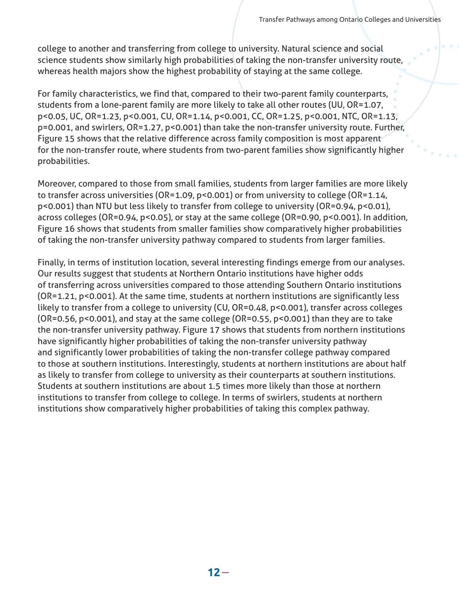college to another and transferring from college to university. Natural science and social science students show similarly high probabilities of taking the non-transfer university route, whereas health majors show the highest probability of staying at the same college.

For family characteristics, we find that, compared to their two-parent family counterparts, students from a lone-parent family are more likely to take all other routes (UU, OR=1.07, p<0.05, UC, OR=1.23, p<0.001, CU, OR=1.14, p<0.001, CC, OR=1.25, p<0.001, NTC, OR=1.13, p=0.001, and swirlers, OR=1.27, p<0.001) than take the non-transfer university route. Further, Figure 15 shows that the relative difference across family composition is most apparent for the non-transfer route, where students from two-parent families show significantly higher probabilities.

Moreover, compared to those from small families, students from larger families are more likely to transfer across universities (OR=1.09, p<0.001) or from university to college (OR=1.14, p<0.001) than NTU but less likely to transfer from college to university (OR=0.94, p<0.01), across colleges (OR=0.94, p<0.05), or stay at the same college (OR=0.90, p<0.001). In addition, Figure 16 shows that students from smaller families show comparatively higher probabilities of taking the non-transfer university pathway compared to students from larger families.

Finally, in terms of institution location, several interesting findings emerge from our analyses. Our results suggest that students at Northern Ontario institutions have higher odds of transferring across universities compared to those attending Southern Ontario institutions (OR=1.21, p<0.001). At the same time, students at northern institutions are significantly less likely to transfer from a college to university (CU, OR=0.48, p<0.001), transfer across colleges (OR=0.56, p<0.001), and stay at the same college (OR=0.55, p<0.001) than they are to take the non-transfer university pathway. Figure 17 shows that students from northern institutions have significantly higher probabilities of taking the non-transfer university pathway and significantly lower probabilities of taking the non-transfer college pathway compared to those at southern institutions. Interestingly, students at northern institutions are about half as likely to transfer from college to university as their counterparts at southern institutions. Students at southern institutions are about 1.5 times more likely than those at northern institutions to transfer from college to college. In terms of swirlers, students at northern institutions show comparatively higher probabilities of taking this complex pathway.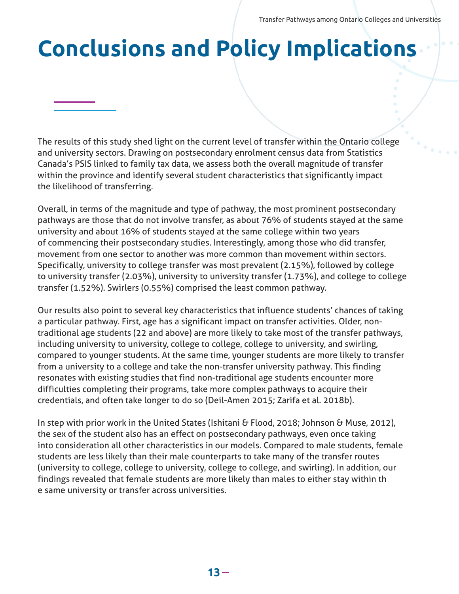## **Conclusions and Policy Implications**

The results of this study shed light on the current level of transfer within the Ontario college and university sectors. Drawing on postsecondary enrolment census data from Statistics Canada's PSIS linked to family tax data, we assess both the overall magnitude of transfer within the province and identify several student characteristics that significantly impact the likelihood of transferring.

Overall, in terms of the magnitude and type of pathway, the most prominent postsecondary pathways are those that do not involve transfer, as about 76% of students stayed at the same university and about 16% of students stayed at the same college within two years of commencing their postsecondary studies. Interestingly, among those who did transfer, movement from one sector to another was more common than movement within sectors. Specifically, university to college transfer was most prevalent (2.15%), followed by college to university transfer (2.03%), university to university transfer (1.73%), and college to college transfer (1.52%). Swirlers (0.55%) comprised the least common pathway.

Our results also point to several key characteristics that influence students' chances of taking a particular pathway. First, age has a significant impact on transfer activities. Older, nontraditional age students (22 and above) are more likely to take most of the transfer pathways, including university to university, college to college, college to university, and swirling, compared to younger students. At the same time, younger students are more likely to transfer from a university to a college and take the non-transfer university pathway. This finding resonates with existing studies that find non-traditional age students encounter more difficulties completing their programs, take more complex pathways to acquire their credentials, and often take longer to do so (Deil-Amen 2015; Zarifa et al. 2018b).

In step with prior work in the United States (Ishitani & Flood, 2018; Johnson & Muse, 2012), the sex of the student also has an effect on postsecondary pathways, even once taking into consideration all other characteristics in our models. Compared to male students, female students are less likely than their male counterparts to take many of the transfer routes (university to college, college to university, college to college, and swirling). In addition, our findings revealed that female students are more likely than males to either stay within th e same university or transfer across universities.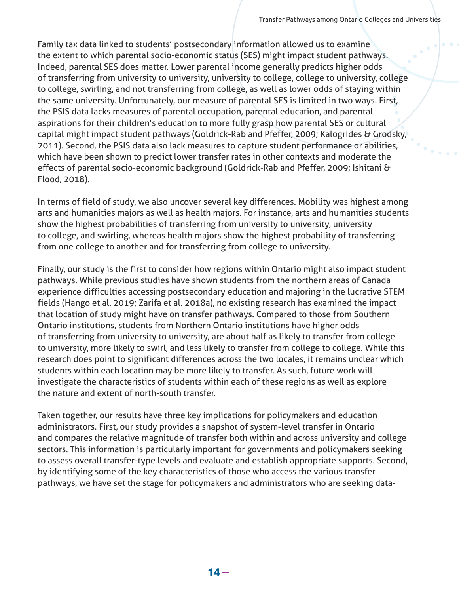Family tax data linked to students' postsecondary information allowed us to examine the extent to which parental socio-economic status (SES) might impact student pathways. Indeed, parental SES does matter. Lower parental income generally predicts higher odds of transferring from university to university, university to college, college to university, college to college, swirling, and not transferring from college, as well as lower odds of staying within the same university. Unfortunately, our measure of parental SES is limited in two ways. First, the PSIS data lacks measures of parental occupation, parental education, and parental aspirations for their children's education to more fully grasp how parental SES or cultural capital might impact student pathways (Goldrick-Rab and Pfeffer, 2009; Kalogrides & Grodsky, 2011). Second, the PSIS data also lack measures to capture student performance or abilities, which have been shown to predict lower transfer rates in other contexts and moderate the effects of parental socio-economic background (Goldrick-Rab and Pfeffer, 2009; Ishitani & Flood, 2018).

In terms of field of study, we also uncover several key differences. Mobility was highest among arts and humanities majors as well as health majors. For instance, arts and humanities students show the highest probabilities of transferring from university to university, university to college, and swirling, whereas health majors show the highest probability of transferring from one college to another and for transferring from college to university.

Finally, our study is the first to consider how regions within Ontario might also impact student pathways. While previous studies have shown students from the northern areas of Canada experience difficulties accessing postsecondary education and majoring in the lucrative STEM fields (Hango et al. 2019; Zarifa et al. 2018a), no existing research has examined the impact that location of study might have on transfer pathways. Compared to those from Southern Ontario institutions, students from Northern Ontario institutions have higher odds of transferring from university to university, are about half as likely to transfer from college to university, more likely to swirl, and less likely to transfer from college to college. While this research does point to significant differences across the two locales, it remains unclear which students within each location may be more likely to transfer. As such, future work will investigate the characteristics of students within each of these regions as well as explore the nature and extent of north-south transfer.

Taken together, our results have three key implications for policymakers and education administrators. First, our study provides a snapshot of system-level transfer in Ontario and compares the relative magnitude of transfer both within and across university and college sectors. This information is particularly important for governments and policymakers seeking to assess overall transfer-type levels and evaluate and establish appropriate supports. Second, by identifying some of the key characteristics of those who access the various transfer pathways, we have set the stage for policymakers and administrators who are seeking data-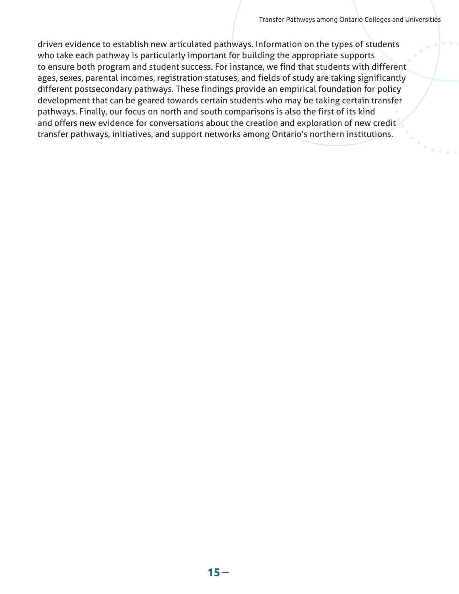driven evidence to establish new articulated pathways. Information on the types of students who take each pathway is particularly important for building the appropriate supports to ensure both program and student success. For instance, we find that students with different ages, sexes, parental incomes, registration statuses, and fields of study are taking significantly different postsecondary pathways. These findings provide an empirical foundation for policy development that can be geared towards certain students who may be taking certain transfer pathways. Finally, our focus on north and south comparisons is also the first of its kind and offers new evidence for conversations about the creation and exploration of new credit transfer pathways, initiatives, and support networks among Ontario's northern institutions.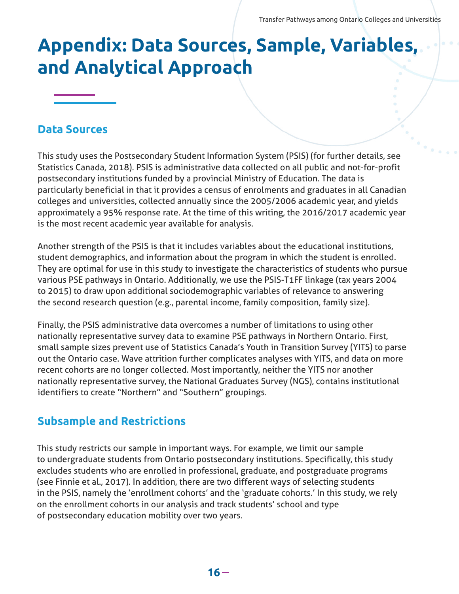## **Appendix: Data Sources, Sample, Variables, and Analytical Approach**

#### **Data Sources**

This study uses the Postsecondary Student Information System (PSIS) (for further details, see Statistics Canada, 2018). PSIS is administrative data collected on all public and not-for-profit postsecondary institutions funded by a provincial Ministry of Education. The data is particularly beneficial in that it provides a census of enrolments and graduates in all Canadian colleges and universities, collected annually since the 2005/2006 academic year, and yields approximately a 95% response rate. At the time of this writing, the 2016/2017 academic year is the most recent academic year available for analysis.

Another strength of the PSIS is that it includes variables about the educational institutions, student demographics, and information about the program in which the student is enrolled. They are optimal for use in this study to investigate the characteristics of students who pursue various PSE pathways in Ontario. Additionally, we use the PSIS-T1FF linkage (tax years 2004 to 2015) to draw upon additional sociodemographic variables of relevance to answering the second research question (e.g., parental income, family composition, family size).

Finally, the PSIS administrative data overcomes a number of limitations to using other nationally representative survey data to examine PSE pathways in Northern Ontario. First, small sample sizes prevent use of Statistics Canada's Youth in Transition Survey (YITS) to parse out the Ontario case. Wave attrition further complicates analyses with YITS, and data on more recent cohorts are no longer collected. Most importantly, neither the YITS nor another nationally representative survey, the National Graduates Survey (NGS), contains institutional identifiers to create "Northern" and "Southern" groupings.

### **Subsample and Restrictions**

This study restricts our sample in important ways. For example, we limit our sample to undergraduate students from Ontario postsecondary institutions. Specifically, this study excludes students who are enrolled in professional, graduate, and postgraduate programs (see Finnie et al., 2017). In addition, there are two different ways of selecting students in the PSIS, namely the 'enrollment cohorts' and the 'graduate cohorts.' In this study, we rely on the enrollment cohorts in our analysis and track students' school and type of postsecondary education mobility over two years.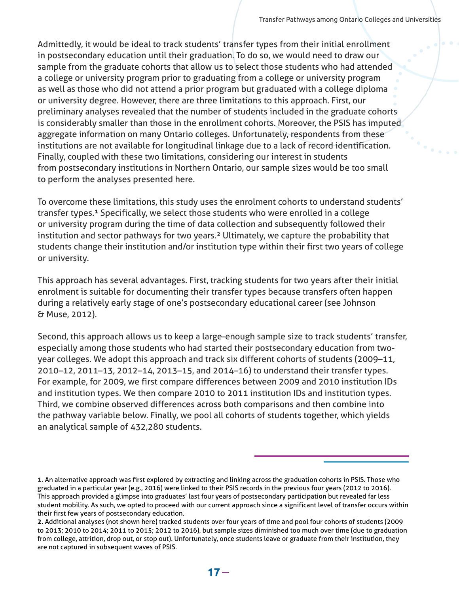Admittedly, it would be ideal to track students' transfer types from their initial enrollment in postsecondary education until their graduation. To do so, we would need to draw our sample from the graduate cohorts that allow us to select those students who had attended a college or university program prior to graduating from a college or university program as well as those who did not attend a prior program but graduated with a college diploma or university degree. However, there are three limitations to this approach. First, our preliminary analyses revealed that the number of students included in the graduate cohorts is considerably smaller than those in the enrollment cohorts. Moreover, the PSIS has imputed aggregate information on many Ontario colleges. Unfortunately, respondents from these institutions are not available for longitudinal linkage due to a lack of record identification. Finally, coupled with these two limitations, considering our interest in students from postsecondary institutions in Northern Ontario, our sample sizes would be too small to perform the analyses presented here.

To overcome these limitations, this study uses the enrolment cohorts to understand students' transfer types.<sup>1</sup> Specifically, we select those students who were enrolled in a college or university program during the time of data collection and subsequently followed their institution and sector pathways for two years.² Ultimately, we capture the probability that students change their institution and/or institution type within their first two years of college or university.

This approach has several advantages. First, tracking students for two years after their initial enrolment is suitable for documenting their transfer types because transfers often happen during a relatively early stage of one's postsecondary educational career (see Johnson & Muse, 2012).

Second, this approach allows us to keep a large-enough sample size to track students' transfer, especially among those students who had started their postsecondary education from twoyear colleges. We adopt this approach and track six different cohorts of students (2009–11, 2010–12, 2011–13, 2012–14, 2013–15, and 2014–16) to understand their transfer types. For example, for 2009, we first compare differences between 2009 and 2010 institution IDs and institution types. We then compare 2010 to 2011 institution IDs and institution types. Third, we combine observed differences across both comparisons and then combine into the pathway variable below. Finally, we pool all cohorts of students together, which yields an analytical sample of 432,280 students.

**<sup>1.</sup>** An alternative approach was first explored by extracting and linking across the graduation cohorts in PSIS. Those who graduated in a particular year (e.g., 2016) were linked to their PSIS records in the previous four years (2012 to 2016). This approach provided a glimpse into graduates' last four years of postsecondary participation but revealed far less student mobility. As such, we opted to proceed with our current approach since a significant level of transfer occurs within their first few years of postsecondary education.

**<sup>2.</sup>** Additional analyses (not shown here) tracked students over four years of time and pool four cohorts of students (2009 to 2013; 2010 to 2014; 2011 to 2015; 2012 to 2016), but sample sizes diminished too much over time (due to graduation from college, attrition, drop out, or stop out). Unfortunately, once students leave or graduate from their institution, they are not captured in subsequent waves of PSIS.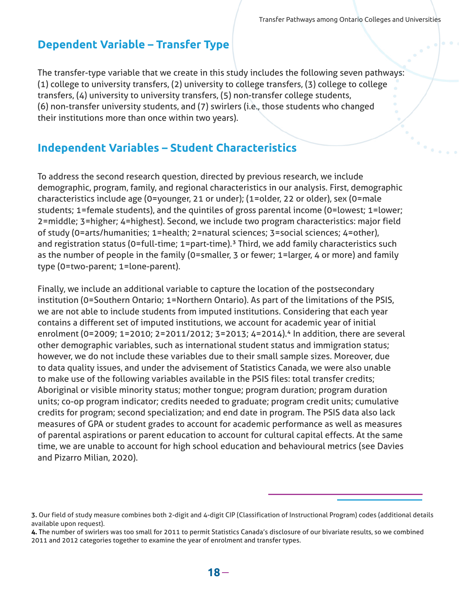#### **Dependent Variable – Transfer Type**

The transfer-type variable that we create in this study includes the following seven pathways: (1) college to university transfers, (2) university to college transfers, (3) college to college transfers, (4) university to university transfers, (5) non-transfer college students, (6) non-transfer university students, and (7) swirlers (i.e., those students who changed their institutions more than once within two years).

### **Independent Variables – Student Characteristics**

To address the second research question, directed by previous research, we include demographic, program, family, and regional characteristics in our analysis. First, demographic characteristics include age (0=younger, 21 or under); (1=older, 22 or older), sex (0=male students; 1=female students), and the quintiles of gross parental income (0=lowest; 1=lower; 2=middle; 3=higher; 4=highest). Second, we include two program characteristics: major field of study (0=arts/humanities; 1=health; 2=natural sciences; 3=social sciences; 4=other), and registration status (0=full-time; 1=part-time).<sup>3</sup> Third, we add family characteristics such as the number of people in the family (0=smaller, 3 or fewer; 1=larger, 4 or more) and family type (0=two-parent; 1=lone-parent).

Finally, we include an additional variable to capture the location of the postsecondary institution (0=Southern Ontario; 1=Northern Ontario). As part of the limitations of the PSIS, we are not able to include students from imputed institutions. Considering that each year contains a different set of imputed institutions, we account for academic year of initial enrolment (0=2009; 1=2010; 2=2011/2012; 3=2013; 4=2014).<sup>4</sup> In addition, there are several other demographic variables, such as international student status and immigration status; however, we do not include these variables due to their small sample sizes. Moreover, due to data quality issues, and under the advisement of Statistics Canada, we were also unable to make use of the following variables available in the PSIS files: total transfer credits; Aboriginal or visible minority status; mother tongue; program duration; program duration units; co-op program indicator; credits needed to graduate; program credit units; cumulative credits for program; second specialization; and end date in program. The PSIS data also lack measures of GPA or student grades to account for academic performance as well as measures of parental aspirations or parent education to account for cultural capital effects. At the same time, we are unable to account for high school education and behavioural metrics (see Davies and Pizarro Milian, 2020).

**<sup>3.</sup>** Our field of study measure combines both 2-digit and 4-digit CIP (Classification of Instructional Program) codes (additional details available upon request).

**<sup>4.</sup>** The number of swirlers was too small for 2011 to permit Statistics Canada's disclosure of our bivariate results, so we combined 2011 and 2012 categories together to examine the year of enrolment and transfer types.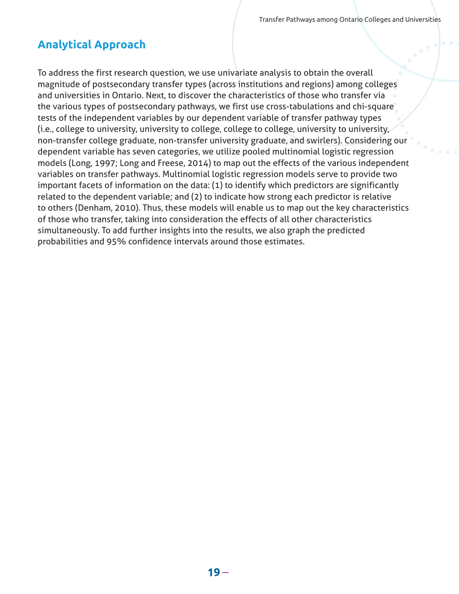### **Analytical Approach**

To address the first research question, we use univariate analysis to obtain the overall magnitude of postsecondary transfer types (across institutions and regions) among colleges and universities in Ontario. Next, to discover the characteristics of those who transfer via the various types of postsecondary pathways, we first use cross-tabulations and chi-square tests of the independent variables by our dependent variable of transfer pathway types (i.e., college to university, university to college, college to college, university to university, non-transfer college graduate, non-transfer university graduate, and swirlers). Considering our dependent variable has seven categories, we utilize pooled multinomial logistic regression models (Long, 1997; Long and Freese, 2014) to map out the effects of the various independent variables on transfer pathways. Multinomial logistic regression models serve to provide two important facets of information on the data: (1) to identify which predictors are significantly related to the dependent variable; and (2) to indicate how strong each predictor is relative to others (Denham, 2010). Thus, these models will enable us to map out the key characteristics of those who transfer, taking into consideration the effects of all other characteristics simultaneously. To add further insights into the results, we also graph the predicted probabilities and 95% confidence intervals around those estimates.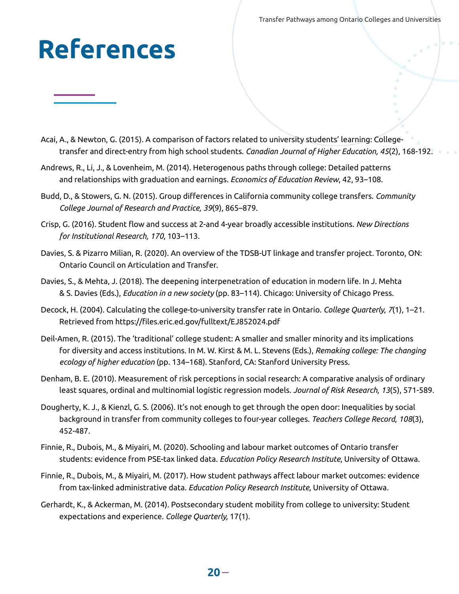## **References**

- Acai, A., & Newton, G. (2015). A comparison of factors related to university students' learning: Collegetransfer and direct-entry from high school students. *Canadian Journal of Higher Education, 45*(2), 168-192.
- Andrews, R., Li, J., & Lovenheim, M. (2014). Heterogenous paths through college: Detailed patterns and relationships with graduation and earnings. *Economics of Education Review*, 42, 93–108.
- Budd, D., & Stowers, G. N. (2015). Group differences in California community college transfers. *Community College Journal of Research and Practice, 39*(9), 865–879.
- Crisp, G. (2016). Student flow and success at 2-and 4-year broadly accessible institutions. *New Directions for Institutional Research, 170*, 103–113.
- Davies, S. & Pizarro Milian, R. (2020). An overview of the TDSB-UT linkage and transfer project. Toronto, ON: Ontario Council on Articulation and Transfer.
- Davies, S., & Mehta, J. (2018). The deepening interpenetration of education in modern life. In J. Mehta & S. Davies (Eds.), *Education in a new society* (pp. 83–114). Chicago: University of Chicago Press.
- Decock, H. (2004). Calculating the college-to-university transfer rate in Ontario. *College Quarterly, 7*(1), 1–21. Retrieved from https://files.eric.ed.gov/fulltext/EJ852024.pdf
- Deil-Amen, R. (2015). The 'traditional' college student: A smaller and smaller minority and its implications for diversity and access institutions. In M. W. Kirst & M. L. Stevens (Eds.), *Remaking college: The changing ecology of higher education* (pp. 134–168). Stanford, CA: Stanford University Press.
- Denham, B. E. (2010). Measurement of risk perceptions in social research: A comparative analysis of ordinary least squares, ordinal and multinomial logistic regression models. *Journal of Risk Research, 13*(5), 571-589.
- Dougherty, K. J., & Kienzl, G. S. (2006). It's not enough to get through the open door: Inequalities by social background in transfer from community colleges to four-year colleges. *Teachers College Record, 108*(3), 452-487.
- Finnie, R., Dubois, M., & Miyairi, M. (2020). Schooling and labour market outcomes of Ontario transfer students: evidence from PSE-tax linked data. *Education Policy Research Institute*, University of Ottawa.
- Finnie, R., Dubois, M., & Miyairi, M. (2017). How student pathways affect labour market outcomes: evidence from tax-linked administrative data. *Education Policy Research Institute*, University of Ottawa.
- Gerhardt, K., & Ackerman, M. (2014). Postsecondary student mobility from college to university: Student expectations and experience. *College Quarterly,* 17(1).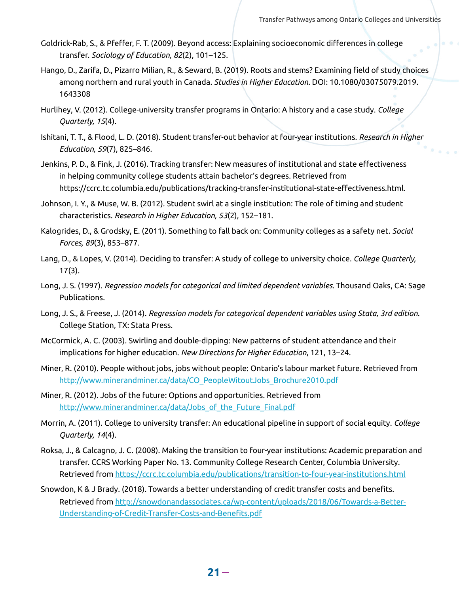- Goldrick-Rab, S., & Pfeffer, F. T. (2009). Beyond access: Explaining socioeconomic differences in college transfer. *Sociology of Education, 82*(2), 101–125.
- Hango, D., Zarifa, D., Pizarro Milian, R., & Seward, B. (2019). Roots and stems? Examining field of study choices among northern and rural youth in Canada. *Studies in Higher Education.* DOI: 10.1080/03075079.2019. 1643308
- Hurlihey, V. (2012). College-university transfer programs in Ontario: A history and a case study. *College Quarterly, 15*(4).
- Ishitani, T. T., & Flood, L. D. (2018). Student transfer-out behavior at four-year institutions. *Research in Higher Education, 59*(7), 825–846.
- Jenkins, P. D., & Fink, J. (2016). Tracking transfer: New measures of institutional and state effectiveness in helping community college students attain bachelor's degrees. Retrieved from https://ccrc.tc.columbia.edu/publications/tracking-transfer-institutional-state-effectiveness.html.
- Johnson, I. Y., & Muse, W. B. (2012). Student swirl at a single institution: The role of timing and student characteristics. *Research in Higher Education, 53*(2), 152–181.
- Kalogrides, D., & Grodsky, E. (2011). Something to fall back on: Community colleges as a safety net. *Social Forces, 89*(3), 853–877.
- Lang, D., & Lopes, V. (2014). Deciding to transfer: A study of college to university choice. *College Quarterly,* 17(3).
- Long, J. S. (1997). *Regression models for categorical and limited dependent variables.* Thousand Oaks, CA: Sage Publications.
- Long, J. S., & Freese, J. (2014). *Regression models for categorical dependent variables using Stata, 3rd edition.* College Station, TX: Stata Press.
- McCormick, A. C. (2003). Swirling and double-dipping: New patterns of student attendance and their implications for higher education. *New Directions for Higher Education*, 121, 13–24.
- Miner, R. (2010). People without jobs, jobs without people: Ontario's labour market future. Retrieved from [http://www.minerandminer.ca/data/CO\\_PeopleWitoutJobs\\_Brochure2010.pdf](http://www.minerandminer.ca/data/CO_PeopleWitoutJobs_Brochure2010.pdf)
- Miner, R. (2012). Jobs of the future: Options and opportunities. Retrieved from [http://www.minerandminer.ca/data/Jobs\\_of\\_the\\_Future\\_Final.pdf](http://www.minerandminer.ca/data/Jobs_of_the_Future_Final.pdf)
- Morrin, A. (2011). College to university transfer: An educational pipeline in support of social equity. *College Quarterly, 14*(4).
- Roksa, J., & Calcagno, J. C. (2008). Making the transition to four-year institutions: Academic preparation and transfer. CCRS Working Paper No. 13. Community College Research Center, Columbia University. Retrieved from <https://ccrc.tc.columbia.edu/publications/transition-to-four-year-institutions.html>
- Snowdon, K & J Brady. (2018). Towards a better understanding of credit transfer costs and benefits. Retrieved from [http://snowdonandassociates.ca/wp-content/uploads/2018/06/Towards-a-Better-](http://snowdonandassociates.ca/wp-content/uploads/2018/06/Towards-a-Better-Understanding-of-Credit-Transfer-Costs-and-Benefits.pdf)Understanding-of-Credit-Transfer-Costs-and-Benefits.pdf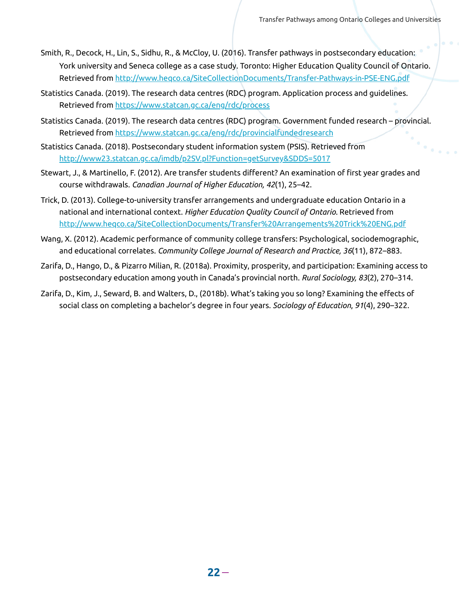- Smith, R., Decock, H., Lin, S., Sidhu, R., & McCloy, U. (2016). Transfer pathways in postsecondary education: York university and Seneca college as a case study. Toronto: Higher Education Quality Council of Ontario. Retrieved from <http://www.heqco.ca/SiteCollectionDocuments/Transfer-Pathways-in-PSE-ENG.pdf>
- Statistics Canada. (2019). The research data centres (RDC) program. Application process and guidelines. Retrieved from <https://www.statcan.gc.ca/eng/rdc/process>
- Statistics Canada. (2019). The research data centres (RDC) program. Government funded research provincial. Retrieved from <https://www.statcan.gc.ca/eng/rdc/provincialfundedresearch>
- Statistics Canada. (2018). Postsecondary student information system (PSIS). Retrieved from <http://www23.statcan.gc.ca/imdb/p2SV.pl?Function=getSurvey&SDDS=5017>
- Stewart, J., & Martinello, F. (2012). Are transfer students different? An examination of first year grades and course withdrawals. *Canadian Journal of Higher Education, 42*(1), 25–42.
- Trick, D. (2013). College-to-university transfer arrangements and undergraduate education Ontario in a national and international context. *Higher Education Quality Council of Ontario.* Retrieved from <http://www.heqco.ca/SiteCollectionDocuments/Transfer%20Arrangements%20Trick%20ENG.pdf>
- Wang, X. (2012). Academic performance of community college transfers: Psychological, sociodemographic, and educational correlates. *Community College Journal of Research and Practice, 36*(11), 872–883.
- Zarifa, D., Hango, D., & Pizarro Milian, R. (2018a). Proximity, prosperity, and participation: Examining access to postsecondary education among youth in Canada's provincial north. *Rural Sociology, 83*(2), 270–314.
- Zarifa, D., Kim, J., Seward, B. and Walters, D., (2018b). What's taking you so long? Examining the effects of social class on completing a bachelor's degree in four years. *Sociology of Education*, *91*(4), 290–322.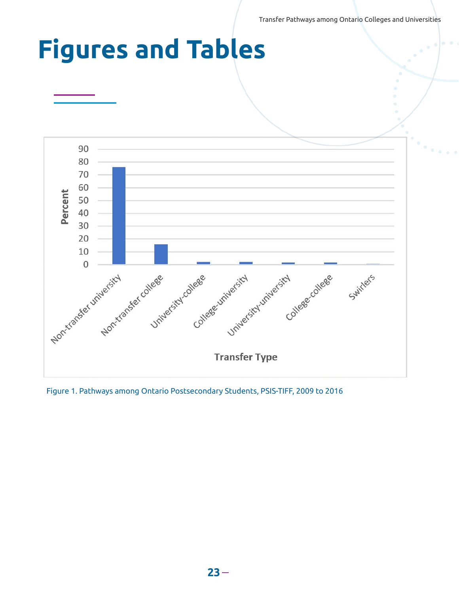Transfer Pathways among Ontario Colleges and Universities

## **Figures and Tables**



Figure 1. Pathways among Ontario Postsecondary Students, PSIS-TIFF, 2009 to 2016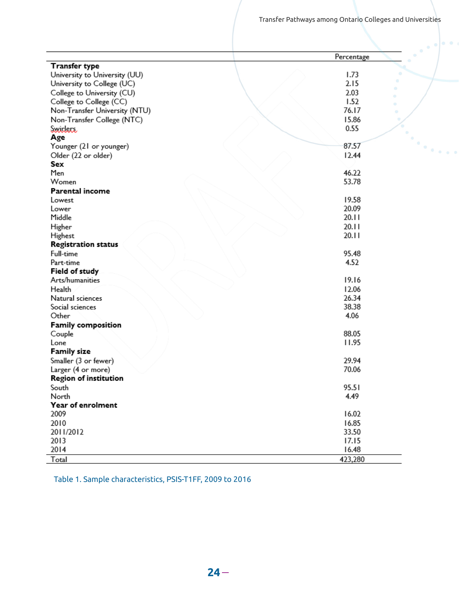$\mathcal{L}_{\text{max}}$ 

|                               | Percentage |
|-------------------------------|------------|
| <b>Transfer type</b>          |            |
| University to University (UU) | 1.73       |
| University to College (UC)    | 2.15       |
| College to University (CU)    | 2.03       |
| College to College (CC)       | 1.52       |
| Non-Transfer University (NTU) | 76.17      |
| Non-Transfer College (NTC)    | 15.86      |
| <b>Switters</b>               | 0.55       |
| Age                           |            |
| Younger (21 or younger)       | 87.57      |
| Older (22 or older)           | 12.44      |
| Sex                           |            |
| Men                           | 46.22      |
| Women                         | 53.78      |
| Parental income               |            |
| Lowest                        | 19.58      |
| Lower                         | 20.09      |
| Middle                        | 20.11      |
| Higher                        | 20.11      |
| Highest                       | 20.11      |
| <b>Registration status</b>    |            |
| Full-time                     | 95.48      |
| Part-time                     | 4.52       |
| Field of study                |            |
| Arts/humanities               | 19.16      |
| Health                        | 12.06      |
| Natural sciences              | 26.34      |
| Social sciences               | 38.38      |
| Other                         | 4.06       |
| <b>Family composition</b>     |            |
| Couple                        | 88.05      |
| Lone                          | 11.95      |
| Family size                   |            |
| Smaller (3 or fewer)          | 29.94      |
| Larger (4 or more)            | 70.06      |
| Region of institution         |            |
| South                         | 95.51      |
| North                         | 4.49       |
| Year of enrolment             |            |
| 2009                          | 16.02      |
| 2010                          | 16.85      |
| 2011/2012                     | 33.50      |
| 2013                          | 17.15      |
| 2014                          | 16.48      |
|                               |            |
| Total                         | 423,280    |

Table 1. Sample characteristics, PSIS-T1FF, 2009 to 2016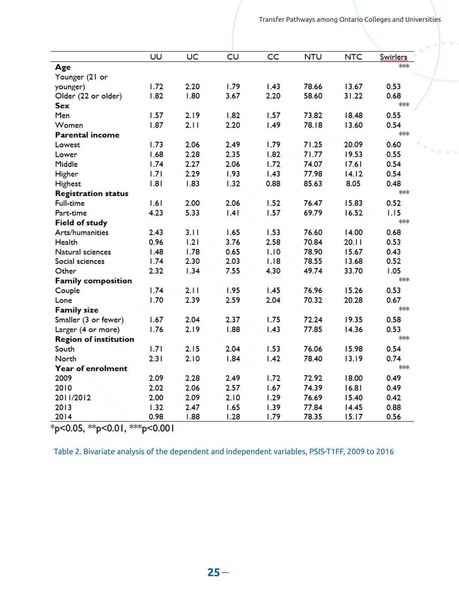|                              | UU   | UC   | CU   | CC   | <b>NTU</b> | <b>NTC</b> | <b>Swinlers</b> |
|------------------------------|------|------|------|------|------------|------------|-----------------|
| Age                          |      |      |      |      |            |            | ***             |
| Younger (21 or               |      |      |      |      |            |            |                 |
| younger)                     | 1.72 | 2.20 | 1.79 | 1.43 | 78.66      | 13.67      | 0.53            |
| Older (22 or older)          | 1.82 | 1.80 | 3.67 | 2.20 | 58.60      | 31.22      | 0.68            |
| Sex                          |      |      |      |      |            |            | ***             |
| Men                          | 1.57 | 2.19 | 1.82 | 1.57 | 73.82      | 18.48      | 0.55            |
| Women                        | 1.87 | 2.11 | 2.20 | 1.49 | 78.18      | 13.60      | 0.54            |
| Parental income              |      |      |      |      |            |            | ***             |
| Lowest                       | 1.73 | 2.06 | 2.49 | 1.79 | 71.25      | 20.09      | 0.60            |
| Lower                        | 1.68 | 2.28 | 2.35 | 1.82 | 71.77      | 19.53      | 0.55            |
| Middle                       | 1.74 | 2.27 | 2.06 | 1.72 | 74.07      | 17.61      | 0.54            |
| Higher                       | 1.71 | 2.29 | 1.93 | 1.43 | 77.98      | 14.12      | 0.54            |
| Highest                      | 1.81 | 1.83 | 1.32 | 0.88 | 85.63      | 8.05       | 0.48            |
| <b>Registration status</b>   |      |      |      |      |            |            | ***             |
| Full-time                    | 1.61 | 2.00 | 2.06 | 1.52 | 76.47      | 15.83      | 0.52            |
| Part-time                    | 4.23 | 5.33 | .4   | 1.57 | 69.79      | 16.52      | 1.15            |
| Field of study               |      |      |      |      |            |            | ***             |
| Arts/humanities              | 2.43 | 3.11 | 1.65 | 1.53 | 76.60      | 14.00      | 0.68            |
| Health                       | 0.96 | 1.21 | 3.76 | 2.58 | 70.84      | 20.11      | 0.53            |
| Natural sciences             | 1.48 | 1.78 | 0.65 | 1.10 | 78.90      | 15.67      | 0.43            |
| Social sciences              | 1.74 | 2.30 | 2.03 | 1.18 | 78.55      | 13.68      | 0.52            |
| Other                        | 2.32 | 1.34 | 7.55 | 4.30 | 49.74      | 33.70      | 1.05            |
| <b>Family composition</b>    |      |      |      |      |            |            | ***             |
| Couple                       | 1.74 | 2.11 | 1.95 | 1.45 | 76.96      | 15.26      | 0.53            |
| Lone                         | 1.70 | 2.39 | 2.59 | 2.04 | 70.32      | 20.28      | 0.67            |
| <b>Family size</b>           |      |      |      |      |            |            | ***             |
| Smaller (3 or fewer)         | 1.67 | 2.04 | 2.37 | 1.75 | 72.24      | 19.35      | 0.58            |
| Larger (4 or more)           | 1.76 | 2.19 | 1.88 | 1.43 | 77.85      | 14.36      | 0.53            |
| <b>Region of institution</b> |      |      |      |      |            |            | ***             |
| South                        | 1.71 | 2.15 | 2.04 | 1.53 | 76.06      | 15.98      | 0.54            |
| North                        | 2.31 | 2.10 | 1.84 | 1.42 | 78.40      | 13.19      | 0.74            |
| Year of enrolment            |      |      |      |      |            |            | ***             |
| 2009                         | 2.09 | 2.28 | 2.49 | 1.72 | 72.92      | 18.00      | 0.49            |
| 2010                         | 2.02 | 2.06 | 2.57 | 1.67 | 74.39      | 16.81      | 0.49            |
| 2011/2012                    | 2.00 | 2.09 | 2.10 | 1.29 | 76.69      | 15.40      | 0.42            |
| 2013                         | 1.32 | 2.47 | 1.65 | 1.39 | 77.84      | 14.45      | 0.88            |
| 2014                         | 0.98 | 1.88 | 1.28 | 1.79 | 78.35      | 15.17      | 0.56            |

 $*_{p<0.05, **_{p<0.01, **p<0.001}}$ 

Table 2. Bivariate analysis of the dependent and independent variables, PSIS-T1FF, 2009 to 2016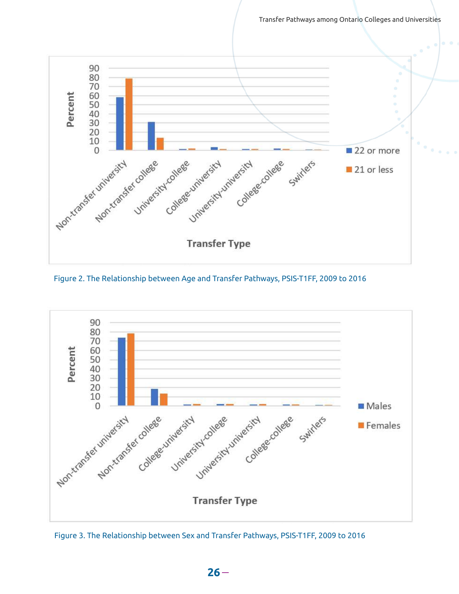Transfer Pathways among Ontario Colleges and Universities



Figure 2. The Relationship between Age and Transfer Pathways, PSIS-T1FF, 2009 to 2016



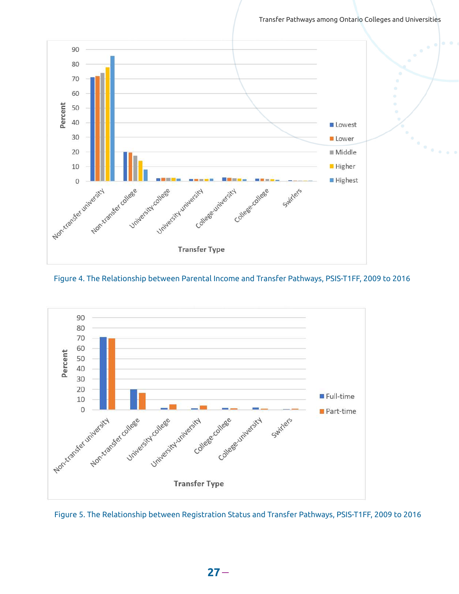Transfer Pathways among Ontario Colleges and Universities







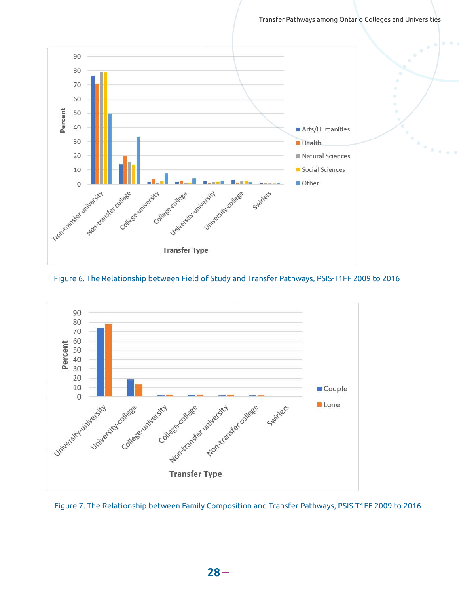





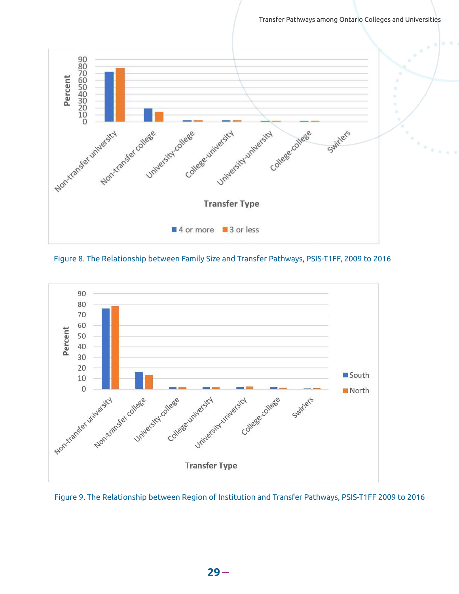Transfer Pathways among Ontario Colleges and Universities



Figure 8. The Relationship between Family Size and Transfer Pathways, PSIS-T1FF, 2009 to 2016



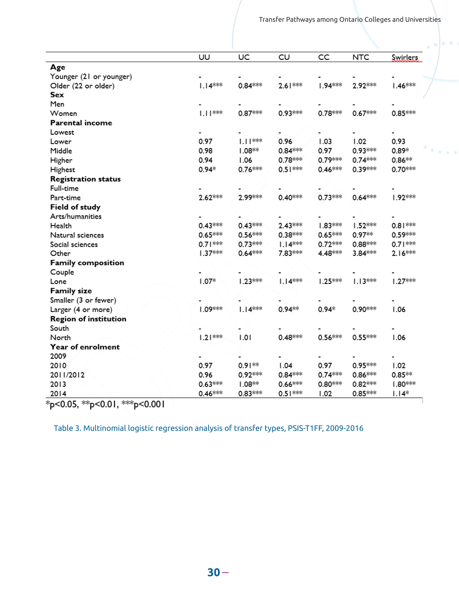|                              | UU        | UC        | CU        | CC        | <b>NTC</b> | <b>Swirlers</b> |
|------------------------------|-----------|-----------|-----------|-----------|------------|-----------------|
| Age                          |           |           |           |           |            |                 |
| Younger (21 or younger)      |           |           |           |           |            |                 |
| Older (22 or older)          | $1.14***$ | $0.84***$ | $2.61***$ | 1.94 ***  | 2.92 ***   | $1.46***$       |
| Sex                          |           |           |           |           |            |                 |
| Men                          |           |           |           |           |            |                 |
| Women                        | $1.11***$ | $0.87***$ | 0.93***   | $0.78***$ | $0.67***$  | $0.85***$       |
| Parental income              |           |           |           |           |            |                 |
| Lowest                       |           |           |           |           |            |                 |
| Lower                        | 0.97      | $1.11***$ | 0.96      | 1.03      | 1.02       | 0.93            |
| Middle                       | 0.98      | $1.08**$  | $0.84***$ | 0.97      | 0.93***    | $0.89*$         |
| Higher                       | 0.94      | 1.06      | $0.78***$ | 0.79***   | $0.74***$  | $0.86**$        |
| Highest                      | $0.94*$   | $0.76***$ | $0.51***$ | $0.46***$ | 0.39***    | 0.70 ***        |
| <b>Registration status</b>   |           |           |           |           |            |                 |
| Full-time                    |           |           |           |           |            |                 |
| Part-time                    | 2.62 ***  | 2.99***   | $0.40***$ | $0.73***$ | $0.64***$  | $1.92***$       |
| Field of study               |           |           |           |           |            |                 |
| Arts/humanities              |           |           |           |           |            |                 |
| Health                       | $0.43***$ | $0.43***$ | 2.43***   | $1.83***$ | 1.52***    | $0.81***$       |
| Natural sciences             | $0.65***$ | $0.56***$ | $0.38***$ | $0.65***$ | $0.97**$   | 0.59***         |
| Social sciences              | $0.71***$ | $0.73***$ | $1.14***$ | $0.72***$ | $0.88***$  | $0.71***$       |
| Other                        | $1.37***$ | $0.64***$ | 7.83 ***  | 4.48***   | 3.84 ***   | $2.16***$       |
| Family composition           |           |           |           |           |            |                 |
| Couple                       |           |           |           |           |            |                 |
| Lone                         | $1.07*$   | $1.23***$ | $1.14***$ | $1.25***$ | $1.13***$  | $1.27***$       |
| <b>Family size</b>           |           |           |           |           |            |                 |
| Smaller (3 or fewer)         |           |           |           |           |            |                 |
| Larger (4 or more)           | $1.09***$ | $1.14***$ | $0.94**$  | $0.94*$   | 0.90***    | 1.06            |
| <b>Region of institution</b> |           |           |           |           |            |                 |
| South                        |           |           |           |           |            |                 |
| North                        | $1.21***$ | 1.01      | $0.48***$ | $0.56***$ | $0.55***$  | 1.06            |
| Year of enrolment            |           |           |           |           |            |                 |
| 2009                         |           |           |           |           |            |                 |
| 2010                         | 0.97      | $0.91**$  | 1.04      | 0.97      | $0.95***$  | 1.02            |
| 2011/2012                    | 0.96      | $0.92***$ | $0.84***$ | $0.74***$ | $0.86***$  | $0.85**$        |
| 2013                         | $0.63***$ | $1.08**$  | $0.66***$ | $0.80***$ | $0.82***$  | $1.80***$       |
| 2014                         | $0.46***$ | $0.83***$ | $0.51***$ | 1.02      | $0.85***$  | $1.14*$         |

Table 3. Multinomial logistic regression analysis of transfer types, PSIS-T1FF, 2009-2016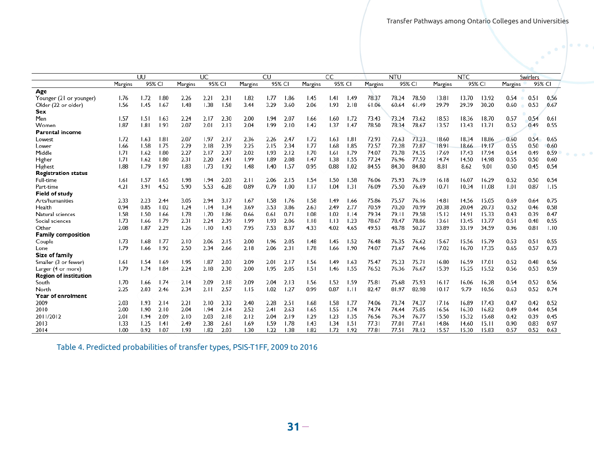$0.00$ 

 $0.00000$ 

|                              |                   |      |      |         |        |      |                   |      |                   |      |            |        |       |            |        |       |           |       |        |      | $\bullet$<br>۰ |  |
|------------------------------|-------------------|------|------|---------|--------|------|-------------------|------|-------------------|------|------------|--------|-------|------------|--------|-------|-----------|-------|--------|------|----------------|--|
|                              |                   |      |      |         |        |      |                   |      |                   |      |            |        |       |            |        |       |           |       |        |      |                |  |
|                              |                   |      |      |         |        |      |                   |      |                   |      |            |        |       |            |        |       |           |       |        |      |                |  |
|                              |                   | UU   |      | UC.     |        | CU   |                   | CC.  |                   |      | <b>NTU</b> |        |       | <b>NTC</b> |        |       | Swirlers. |       |        |      |                |  |
|                              | 95% CI<br>Margins |      |      | Margins | 95% CI |      | 95% CI<br>Margins |      | 95% CI<br>Margins |      | Margins    | 95% CI |       | Margins    | 95% CI |       | Margins   |       | 95% CI |      |                |  |
| Age                          |                   |      |      |         |        |      |                   |      |                   |      |            |        |       |            |        |       |           |       |        |      |                |  |
| Younger (21 or younger)      | 1.76              | 1.72 | 1.80 | 2.26    | 2.21   | 2.31 | 1.82              | 1.77 | 1.86              | 1.45 | 1.41       | 1.49   | 78.37 | 78.24      | 78.50  | 13.81 | 13.70     | 13.92 | 0.54   | 0.51 | 0.56           |  |
| Older (22 or older)          | 1.56              | 1.45 | 1.67 | 1.48    | 1.38   | 1.58 | 3.44              | 3.29 | 3.60              | 2.06 | 1.93       | 2.18   | 61.06 | 60.64      | 61.49  | 29.79 | 29.39     | 30.20 | 0.60   | 0.53 | 0.67           |  |
| Sex                          |                   |      |      |         |        |      |                   |      |                   |      |            |        |       |            |        |       |           |       |        |      |                |  |
| Men                          | 1.57              | 1.51 | 1.63 | 2.24    | 2.17   | 2.30 | 2.00              | 1.94 | 2.07              | 1.66 | 1.60       | 1.72   | 73.43 | 73.24      | 73.62  | 18.53 | 18.36     | 18.70 | 0.57   | 0.54 | 0.61           |  |
| Women                        | 1.87              | 1.81 | 1.93 | 2.07    | 2.01   | 2.13 | 2.04              | 1.99 | 2.10              | 1.42 | 1.37       | 1.47   | 78.50 | 78.34      | 78.67  | 13.57 | 13.43     | 13.71 | 0.52   | 0.49 | 0.55           |  |
| Parental income              |                   |      |      |         |        |      |                   |      |                   |      |            |        |       |            |        |       |           |       |        |      |                |  |
| Lowest                       | 1.72              | 1.63 | 1.81 | 2.07    | 1.97   | 2.17 | 2.36              | 2.26 | 2.47              | 1.72 | 1.63       | 1.81   | 72.93 | 72.63      | 73.23  | 18.60 | 18.34     | 18.86 | 0.60   | 0.54 | 0.65           |  |
| Lower                        | 1.66              | 1.58 | 1.75 | 2.29    | 2.18   | 2.39 | 2.25              | 2.15 | 2.34              | 1.77 | 1.68       | 1.85   | 72.57 | 72.28      | 72.87  | 18.91 | 18.66     | 19.17 | 0.55   | 0.50 | 0.60           |  |
| Middle                       | 1.71              | 1.62 | 1.80 | 2.27    | 2.17   | 2.37 | 2.02              | 1.93 | 2.12              | 1.70 | 1.61       | 1.79   | 74.07 | 73.78      | 74.35  | 17.69 | 17.43     | 17.94 | 0.54   | 0.49 | 0.59           |  |
| Higher                       | 1.71              | 1.62 | 1.80 | 2.31    | 2.20   | 2.41 | 1.99              | 1.89 | 2.08              | 1.47 | 1.38       | 1.55   | 77.24 | 76.96      | 77.52  | 14.74 | 14.50     | 14.98 | 0.55   | 0.50 | 0.60           |  |
| Highest                      | 1.88              | 1.79 | 1.97 | 1.83    | 1.73   | 1.92 | 1.48              | 1.40 | 1.57              | 0.95 | 0.88       | 1.02   | 84.55 | 84.30      | 84.80  | 8.81  | 8.62      | 9.01  | 0.50   | 0.45 | 0.54           |  |
| <b>Registration status</b>   |                   |      |      |         |        |      |                   |      |                   |      |            |        |       |            |        |       |           |       |        |      |                |  |
| Full-time                    | 1.61              | 1.57 | 1.65 | 1.98    | 1.94   | 2.03 | 2.11              | 2.06 | 2.15              | 1.54 | 1.50       | 1.58   | 76.06 | 75.93      | 76.19  | 16.18 | 16.07     | 16.29 | 0.52   | 0.50 | 0.54           |  |
| Part-time                    | 4.21              | 3.91 | 4.52 | 5.90    | 5.53   | 6.28 | 0.89              | 0.79 | 1.00              | 1.17 | 1.04       | 1.31   | 76.09 | 75.50      | 76.69  | 10.71 | 10.34     | 11.08 | 1.01   | 0.87 | 1.15           |  |
| Field of study               |                   |      |      |         |        |      |                   |      |                   |      |            |        |       |            |        |       |           |       |        |      |                |  |
| Arts/humanities              | 2.33              | 2.23 | 2.44 | 3.05    | 2.94   | 3.17 | 1.67              | 1.58 | 1.76              | 1.58 | 1.49       | 1.66   | 75.86 | 75.57      | 76.16  | 14.81 | 14.56     | 15.05 | 0.69   | 0.64 | 0.75           |  |
| Health                       | 0.94              | 0.85 | 1.02 | 1.24    | 1.14   | 1.34 | 3.69              | 3.53 | 3.86              | 2.63 | 2.49       | 2.77   | 70.59 | 70.20      | 70.99  | 20.38 | 20.04     | 20.73 | 0.52   | 0.46 | 0.58           |  |
| Natural sciences             | 1.58              | 1.50 | 1.66 | 1.78    | 1.70   | 1.86 | 0.66              | 0.61 | 0.71              | 1.08 | 1.02       | 1.14   | 79.34 | 79.11      | 79.58  | 15.12 | 14.91     | 15.33 | 0.43   | 0.39 | 0.47           |  |
| Social sciences              | 1.73              | 1.66 | 1.79 | 2.31    | 2.24   | 2.39 | 1.99              | 1.93 | 2.06              | 1.18 | 1.13       | 1.23   | 78.67 | 78.47      | 78.86  | 13.61 | 13.45     | 13.77 | 0.51   | 0.48 | 0.55           |  |
| Other                        | 2.08              | 1.87 | 2.29 | 1.26    | 1.10   | 1.43 | 7.95              | 7.53 | 8.37              | 4.33 | 4.02       | 4.65   | 49.53 | 48.78      | 50.27  | 33.89 | 33.19     | 34.59 | 0.96   | 0.81 | 1.10           |  |
| <b>Family composition</b>    |                   |      |      |         |        |      |                   |      |                   |      |            |        |       |            |        |       |           |       |        |      |                |  |
| Couple                       | 1.73              | 1.68 | 1.77 | 2.10    | 2.06   | 2.15 | 2.00              | 1.96 | 2.05              | 1.48 | 1.45       | 1.52   | 76.48 | 76.35      | 76.62  | 15.67 | 15.56     | 15.79 | 0.53   | 0.51 | 0.55           |  |
| Lone                         | 1.79              | 1.66 | 1.92 | 2.50    | 2.34   | 2.66 | 2.18              | 2.06 | 2.31              | 1.78 | 1.66       | 1.90   | 74.07 | 73.67      | 74.46  | 17.02 | 16.70     | 17.35 | 0.65   | 0.57 | 0.73           |  |
| Size of family               |                   |      |      |         |        |      |                   |      |                   |      |            |        |       |            |        |       |           |       |        |      |                |  |
| Smaller (3 or fewer)         | 1.61              | 1.54 | 1.69 | 1.95    | 1.87   | 2.03 | 2.09              | 2.01 | 2.17              | 1.56 | 1.49       | 1.63   | 75.47 | 75.23      | 75.71  | 16.80 | 16.59     | 17.01 | 0.52   | 0.48 | 0.56           |  |
| Larger (4 or more)           | 1.79              | 1.74 | 1.84 | 2.24    | 2.18   | 2.30 | 2.00              | 1.95 | 2.05              | 1.51 | 1.46       | 1.55   | 76.52 | 76.36      | 76.67  | 15.39 | 15.25     | 15.52 | 0.56   | 0.53 | 0.59           |  |
| <b>Region of institution</b> |                   |      |      |         |        |      |                   |      |                   |      |            |        |       |            |        |       |           |       |        |      |                |  |
| South                        | 1.70              | 1.66 | 1.74 | 2.14    | 2.09   | 2.18 | 2.09              | 2.04 | 2.13              | 1.56 | 1.52       | 1.59   | 75.81 | 75.68      | 75.93  | 16.17 | 16.06     | 16.28 | 0.54   | 0.52 | 0.56           |  |
| North                        | 2.25              | 2.03 | 2.46 | 2.34    | 2.11   | 2.57 | 1.15              | 1.02 | 1.27              | 0.99 | 0.87       | 1.11   | 82.47 | 81.97      | 82.98  | 10.17 | 9.79      | 10.56 | 0.63   | 0.52 | 0.74           |  |
| Year of enrolment            |                   |      |      |         |        |      |                   |      |                   |      |            |        |       |            |        |       |           |       |        |      |                |  |
| 2009                         | 2.03              | 1.93 | 2.14 | 2.21    | 2.10   | 2.32 | 2.40              | 2.28 | 2.51              | 1.68 | 1.58       | 1.77   | 74.06 | 73.74      | 74.37  | 17.16 | 16.89     | 17.43 | 0.47   | 0.42 | 0.52           |  |
| 2010                         | 2.00              | 1.90 | 2.10 | 2.04    | 1.94   | 2.14 | 2.52              | 2.41 | 2.63              | 1.65 | 1.55       | 1.74   | 74.74 | 74.44      | 75.05  | 16.56 | 16.30     | 16.82 | 0.49   | 0.44 | 0.54           |  |
| 2011/2012                    | 2.01              | 1.94 | 2.09 | 2.10    | 2.03   | 2.18 | 2.12              | 2.04 | 2.19              | 1.29 | 1.23       | 1.35   | 76.56 | 76.34      | 76.77  | 15.50 | 15.32     | 15.68 | 0.42   | 0.39 | 0.45           |  |
| 2013                         | 1.33              | 1.25 | .4   | 2.49    | 2.38   | 2.61 | 1.69              | 1.59 | 1.78              | 1.43 | 1.34       | 1.51   | 77.31 | 77.01      | 77.61  | 14.86 | 14.60     | 15.11 | 0.90   | 0.83 | 0.97           |  |
| 2014                         | 1.00              | 0.92 | 1.07 | 1.93    | 1.82   | 2.03 | 1.30              | 1.22 | 1.38              | 1.82 | 1.72       | 1.92   | 77.81 | 77.51      | 78.12  | 15.57 | 15.30     | 15.83 | 0.57   | 0.52 | 0.63           |  |
|                              |                   |      |      |         |        |      |                   |      |                   |      |            |        |       |            |        |       |           |       |        |      |                |  |

Table 4. Predicted probabilities of transfer types, PSIS-T1FF, 2009 to 2016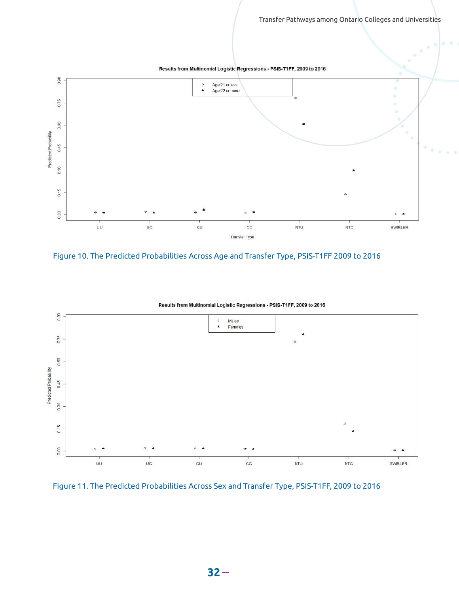

Figure 10. The Predicted Probabilities Across Age and Transfer Type, PSIS-T1FF 2009 to 2016



```
Results from Multinomial Logistic Regressions - PSIS-T1FF, 2009 to 2016
```
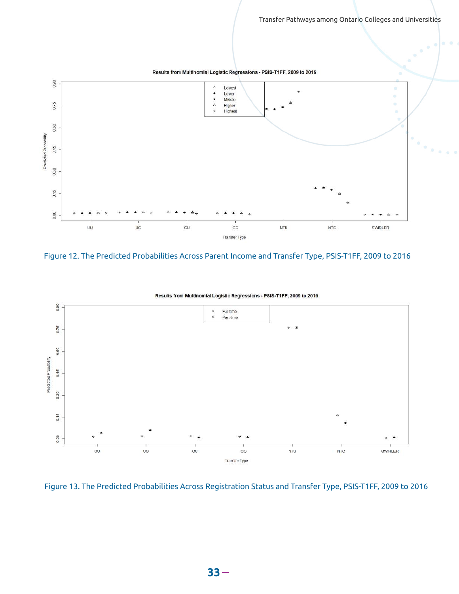

Figure 12. The Predicted Probabilities Across Parent Income and Transfer Type, PSIS-T1FF, 2009 to 2016



Results from Multinomial Logistic Regressions - PSIS-T1FF, 2009 to 2016

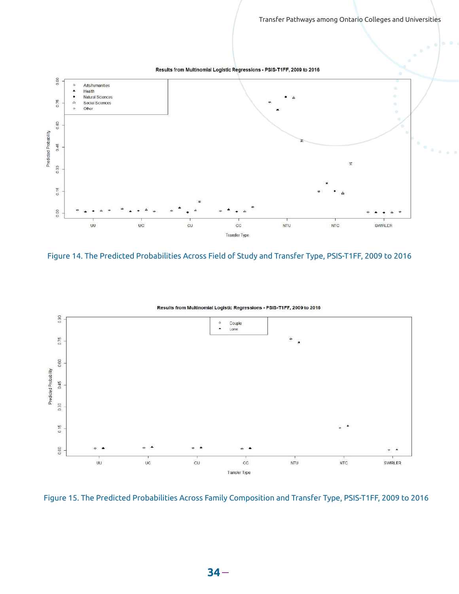

Figure 14. The Predicted Probabilities Across Field of Study and Transfer Type, PSIS-T1FF, 2009 to 2016



Results from Multinomial Logistic Regressions - PSIS-T1FF, 2009 to 2016

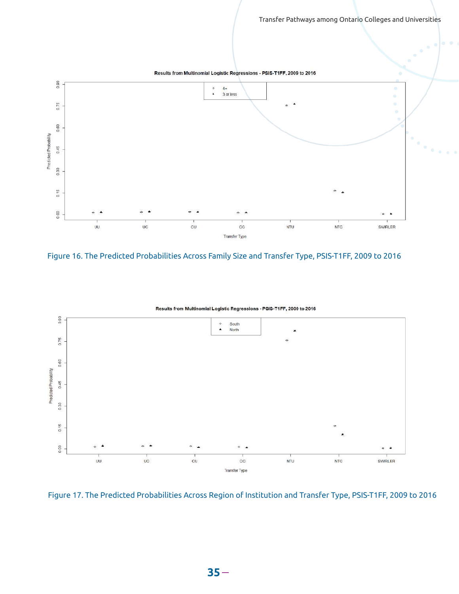

Figure 16. The Predicted Probabilities Across Family Size and Transfer Type, PSIS-T1FF, 2009 to 2016



Results from Multinomial Logistic Regressions - PSIS-T1FF, 2009 to 2016